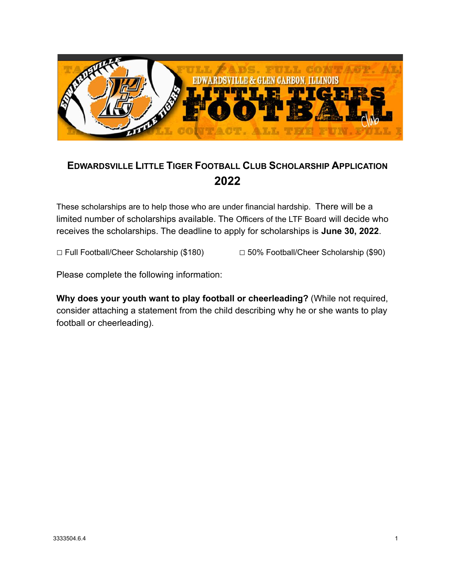

## **EDWARDSVILLE LITTLE TIGER FOOTBALL CLUB SCHOLARSHIP APPLICATION 2022**

These scholarships are to help those who are under financial hardship. There will be a limited number of scholarships available. The Officers of the LTF Board will decide who receives the scholarships. The deadline to apply for scholarships is **June 30, 2022**.

□ Full Football/Cheer Scholarship (\$180) □ 50% Football/Cheer Scholarship (\$90)

Please complete the following information:

**Why does your youth want to play football or cheerleading?** (While not required, consider attaching a statement from the child describing why he or she wants to play football or cheerleading).